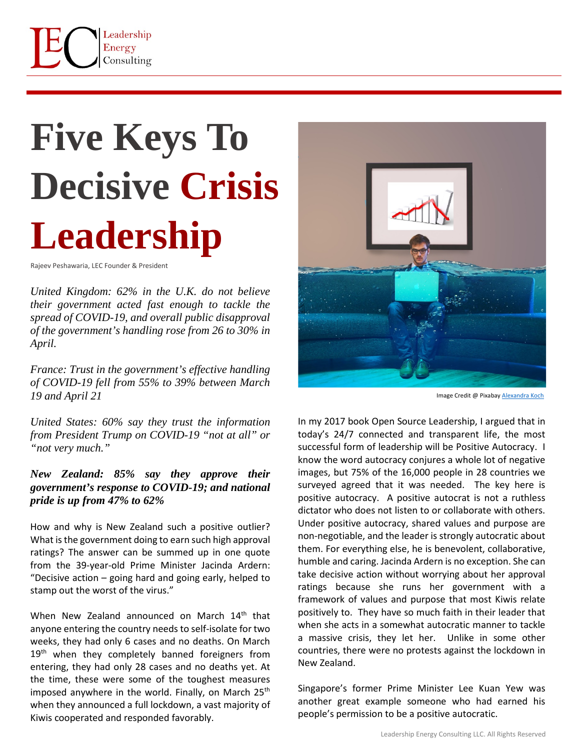

## **Five Keys To Decisive Crisis Leadership**

Rajeev Peshawaria, LEC Founder & President

*United Kingdom: 62% in the U.K. do not believe their government acted fast enough to tackle the spread of COVID-19, and overall public disapproval of the government's handling rose from 26 to 30% in April.*

*France: Trust in the government's effective handling of COVID-19 fell from 55% to 39% between March 19 and April 21*

*United States: 60% say they trust the information from President Trump on COVID-19 "not at all" or "not very much."*

## *New Zealand: 85% say they approve their government's response to COVID-19; and national pride is up from 47% to 62%*

How and why is New Zealand such a positive outlier? What is the government doing to earn such high approval ratings? The answer can be summed up in one quote from the 39-year-old Prime Minister Jacinda Ardern: "Decisive action – going hard and going early, helped to stamp out the worst of the virus."

When New Zealand announced on March 14<sup>th</sup> that anyone entering the country needs to self-isolate for two weeks, they had only 6 cases and no deaths. On March 19<sup>th</sup> when they completely banned foreigners from entering, they had only 28 cases and no deaths yet. At the time, these were some of the toughest measures imposed anywhere in the world. Finally, on March  $25<sup>th</sup>$ when they announced a full lockdown, a vast majority of Kiwis cooperated and responded favorably.



Image Credit @ Pixabay [Alexandra Koch](https://pixabay.com/photos/business-corona-water-recession-5037777/)

In my 2017 book Open Source Leadership, I argued that in today's 24/7 connected and transparent life, the most successful form of leadership will be Positive Autocracy. I know the word autocracy conjures a whole lot of negative images, but 75% of the 16,000 people in 28 countries we surveyed agreed that it was needed. The key here is positive autocracy. A positive autocrat is not a ruthless dictator who does not listen to or collaborate with others. Under positive autocracy, shared values and purpose are non-negotiable, and the leader is strongly autocratic about them. For everything else, he is benevolent, collaborative, humble and caring. Jacinda Ardern is no exception. She can take decisive action without worrying about her approval ratings because she runs her government with a framework of values and purpose that most Kiwis relate positively to. They have so much faith in their leader that when she acts in a somewhat autocratic manner to tackle a massive crisis, they let her. Unlike in some other countries, there were no protests against the lockdown in New Zealand.

Singapore's former Prime Minister Lee Kuan Yew was another great example someone who had earned his people's permission to be a positive autocratic.